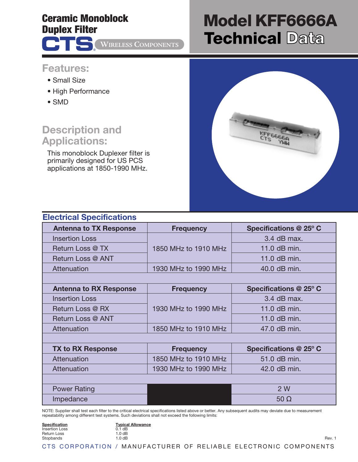## **Ceramic Monoblock Duplex Filter**

®

**WIRELESS COMPONENTS** 

# **Model KFF6666A Technical Data**

### **Features:**

- Small Size
- High Performance
- SMD

# **Description and Applications:**

This monoblock Duplexer filter is primarily designed for US PCS applications at 1850-1990 MHz.



#### **Electrical Specifications Antenna to TX Response Frequency Specifications @ 25º C** Insertion Loss Return Loss @ TX | 1850 MHz to 1910 MHz | 11.0 dB min. 3.4 dB max. Return Loss @ ANT  $\qquad$  | 11.0 dB min. Attenuation 1930 MHz to 1990 MHz 1000 dB min. **Antenna to RX Response Frequency Specifications @ 25º C** Insertion Loss Return Loss @ RX 1930 MHz to 1990 MHz 2 11.0 dB min. 3.4 dB max. Return Loss @ ANT 11.0 dB min. Attenuation  $\vert$  1850 MHz to 1910 MHz  $\vert$  47.0 dB min. **TX to RX Response Frequency Specifications @ 25º C** Attenuation 1850 MHz to 1910 MHz  $\vert$  51.0 dB min. Attenuation 1930 MHz to 1990 MHz 10 42.0 dB min. Power Rating **2 W** 2 W Impedance 50 Ω

NOTE: Supplier shall test each filter to the critical electrical specifications listed above or better. Any subsequent audits may deviate due to measurement repeatability among different test systems. Such deviations shall not exceed the following limits:

| <b>Specification</b> | <b>Typical Allowance</b>                       |  |        |
|----------------------|------------------------------------------------|--|--------|
| Insertion Loss       | 0.1 dB                                         |  |        |
| <b>Return Loss</b>   | $1.0 \text{ dB}$                               |  |        |
| Stopbands            | 1.0 dB                                         |  | Rev. 1 |
| CTS CORPORATION      | MANUFACTURER OF RELIABLE ELECTRONIC COMPONENTS |  |        |